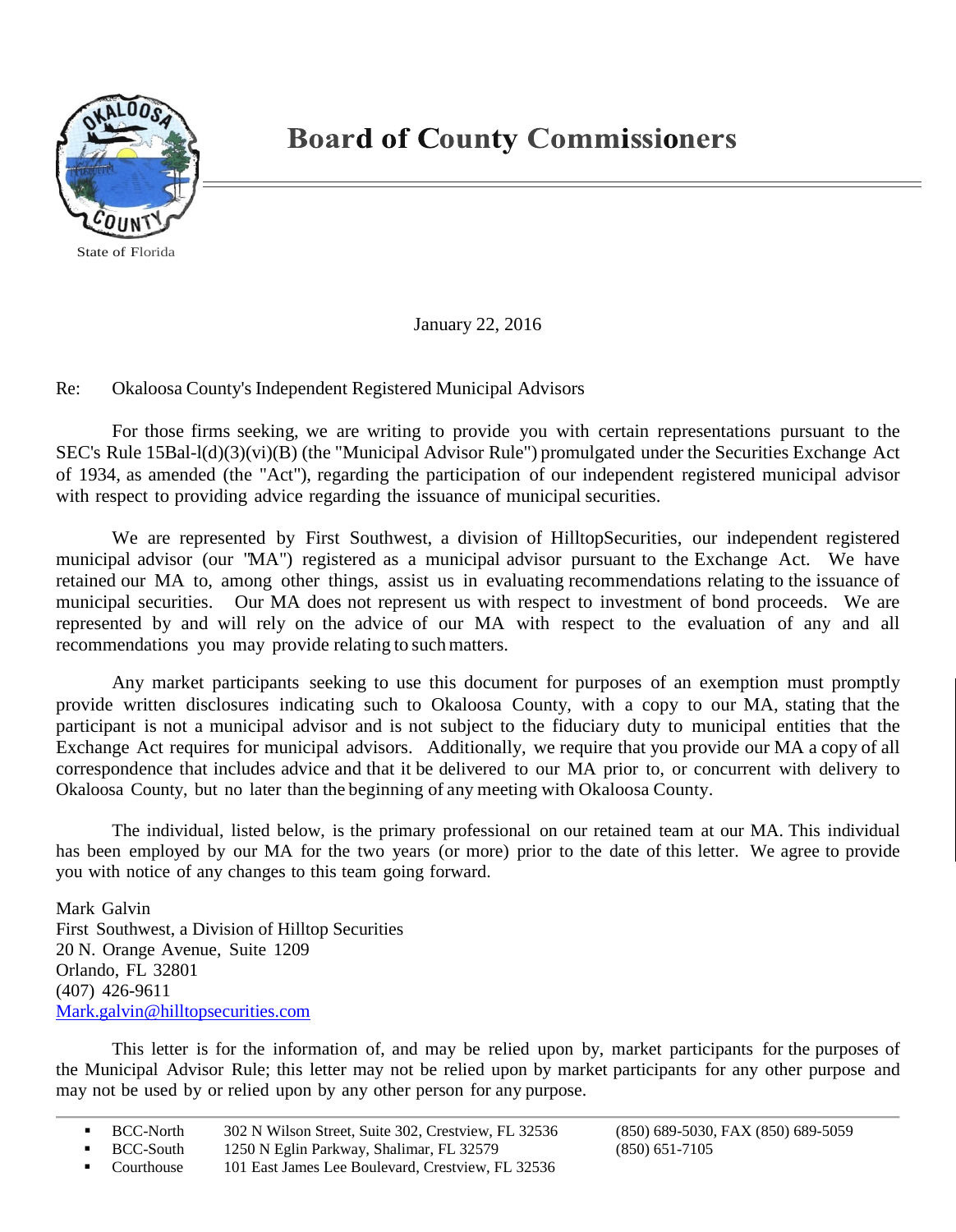

State of Florida

## **Board of County Commissioners**

January 22, 2016

Re: Okaloosa County's Independent Registered Municipal Advisors

For those firms seeking, we are writing to provide you with certain representations pursuant to the SEC's Rule 15Bal-l(d)(3)(vi)(B) (the "Municipal Advisor Rule") promulgated under the Securities Exchange Act of 1934, as amended (the "Act"), regarding the participation of our independent registered municipal advisor with respect to providing advice regarding the issuance of municipal securities.

We are represented by First Southwest, a division of HilltopSecurities, our independent registered municipal advisor (our "MA") registered as a municipal advisor pursuant to the Exchange Act. We have retained our MA to, among other things, assist us in evaluating recommendations relating to the issuance of municipal securities. Our MA does not represent us with respect to investment of bond proceeds. We are represented by and will rely on the advice of our MA with respect to the evaluation of any and all recommendations you may provide relating to suchmatters.

Any market participants seeking to use this document for purposes of an exemption must promptly provide written disclosures indicating such to Okaloosa County, with a copy to our MA, stating that the participant is not a municipal advisor and is not subject to the fiduciary duty to municipal entities that the Exchange Act requires for municipal advisors. Additionally, we require that you provide our MA a copy of all correspondence that includes advice and that it be delivered to our MA prior to, or concurrent with delivery to Okaloosa County, but no later than the beginning of any meeting with Okaloosa County.

The individual, listed below, is the primary professional on our retained team at our MA. This individual has been employed by our MA for the two years (or more) prior to the date of this letter. We agree to provide you with notice of any changes to this team going forward.

Mark Galvin First Southwest, a Division of Hilltop Securities 20 N. Orange Avenue, Suite 1209 Orlando, FL 32801 (407) 426-9611 [Mark.galvin@hilltopsecurities.com](mailto:Mark.galvin@hilltopsecurities.com)

This letter is for the information of, and may be relied upon by, market participants for the purposes of the Municipal Advisor Rule; this letter may not be relied upon by market participants for any other purpose and may not be used by or relied upon by any other person for any purpose.

BCC-North 302 N Wilson Street, Suite 302, Crestview, FL 32536 (850) 689-5030, FAX (850) 689-5059<br>BCC-South 1250 N Eglin Parkway, Shalimar, FL 32579 (850) 651-7105

<sup>1250</sup> N Eglin Parkway, Shalimar, FL 32579 (850) 651-7105

Courthouse 101 East James Lee Boulevard, Crestview, FL 32536